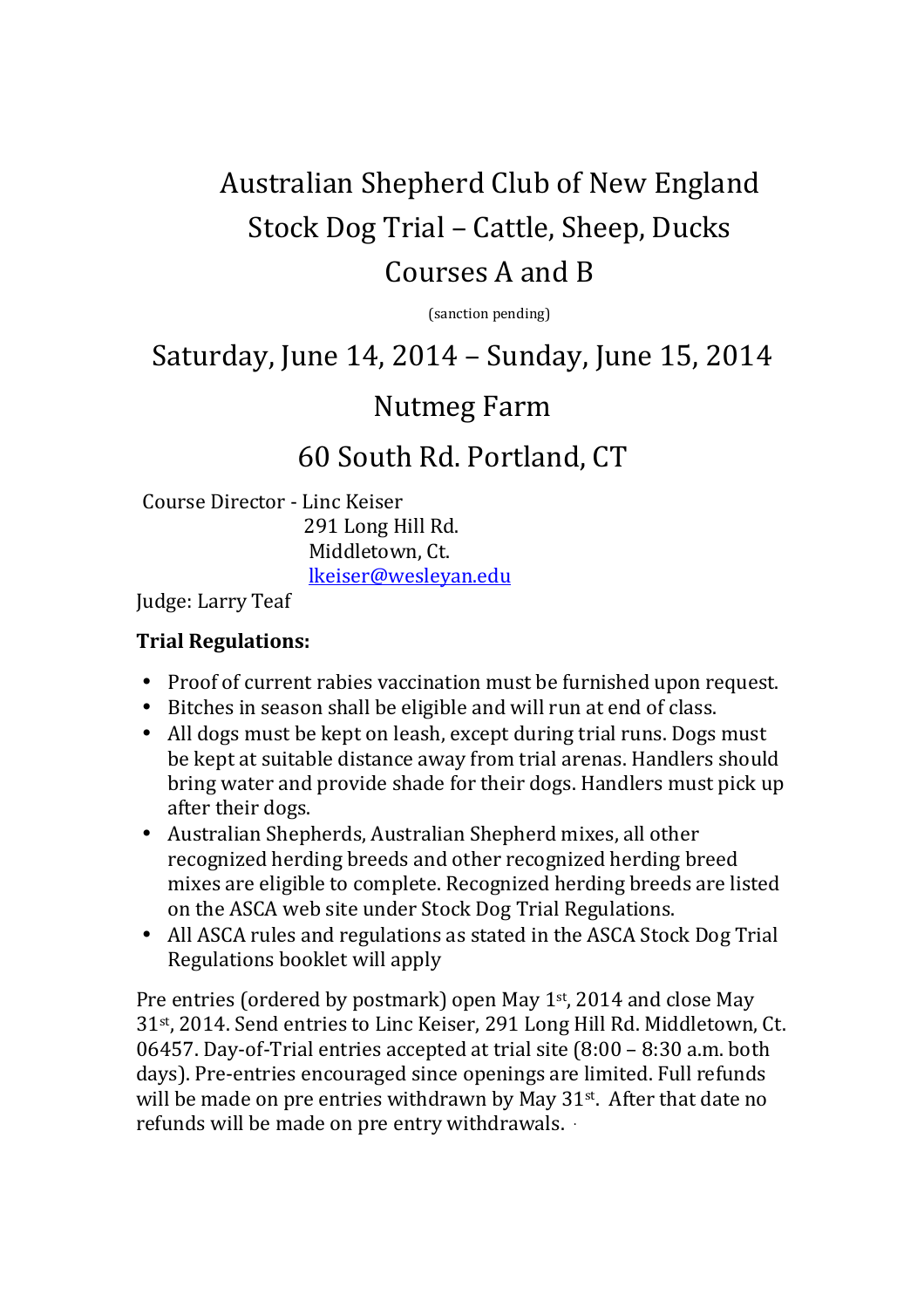# Australian Shepherd Club of New England Stock Dog Trial – Cattle, Sheep, Ducks Courses A and B

(sanction pending)

# Saturday, June 14, 2014 – Sunday, June 15, 2014

### Nutmeg Farm

# 60 South Rd. Portland, CT

Course Director - Linc Keiser 291 Long Hill Rd. Middletown, Ct. lkeiser@wesleyan.edu

Judge: Larry Teaf

#### **Trial Regulations:**

- Proof of current rabies vaccination must be furnished upon request.
- Bitches in season shall be eligible and will run at end of class.
- All dogs must be kept on leash, except during trial runs. Dogs must be kept at suitable distance away from trial arenas. Handlers should bring water and provide shade for their dogs. Handlers must pick up after their dogs.
- Australian Shepherds, Australian Shepherd mixes, all other recognized herding breeds and other recognized herding breed mixes are eligible to complete. Recognized herding breeds are listed on the ASCA web site under Stock Dog Trial Regulations.
- All ASCA rules and regulations as stated in the ASCA Stock Dog Trial Regulations booklet will apply

Pre entries (ordered by postmark) open May 1<sup>st</sup>, 2014 and close May 31st, 2014. Send entries to Linc Keiser, 291 Long Hill Rd. Middletown, Ct. 06457. Day-of-Trial entries accepted at trial site (8:00 – 8:30 a.m. both days). Pre-entries encouraged since openings are limited. Full refunds will be made on pre entries withdrawn by May 31<sup>st</sup>. After that date no refunds will be made on pre entry withdrawals. .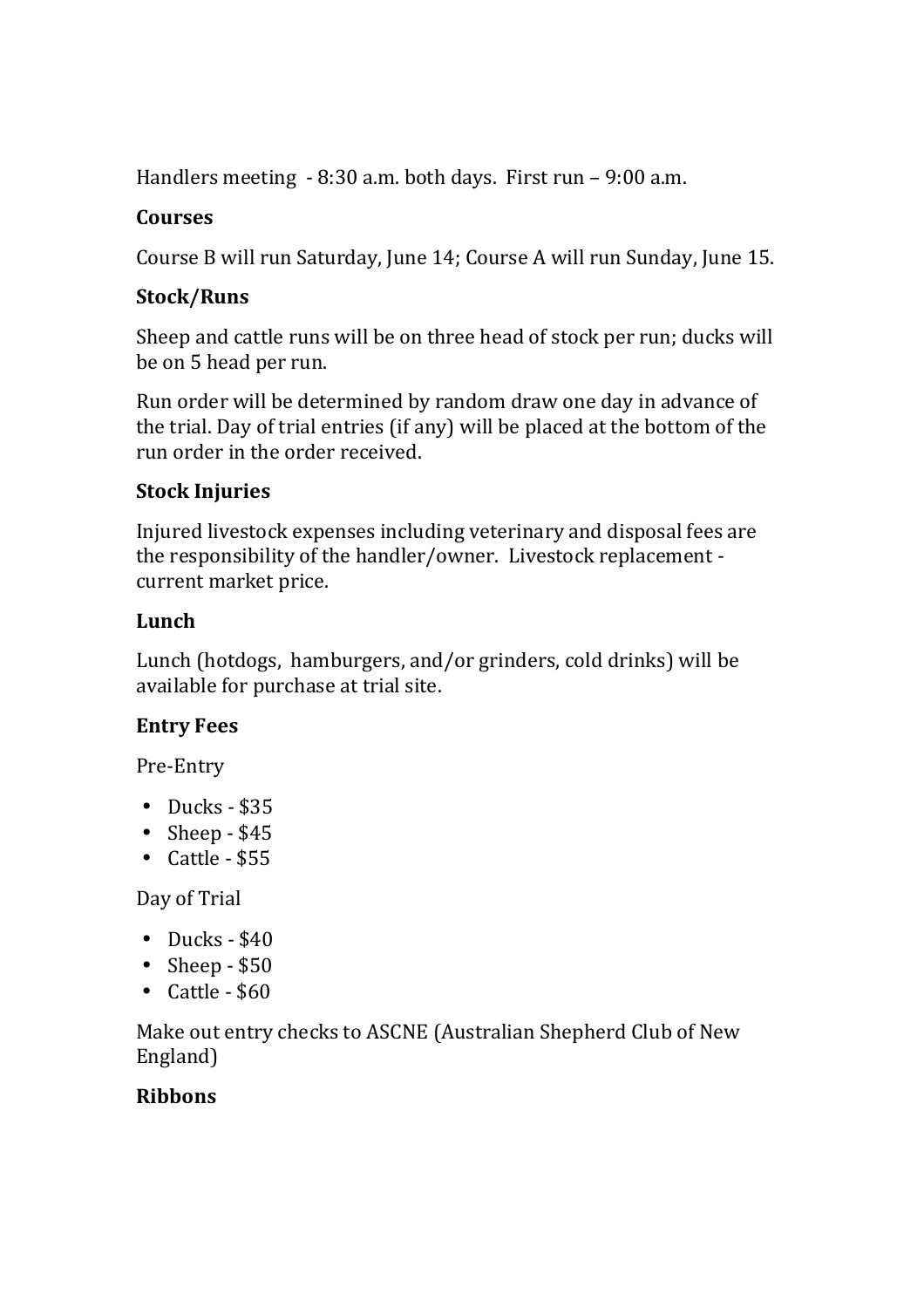Handlers meeting - 8:30 a.m. both days. First run – 9:00 a.m.

#### **Courses**

Course B will run Saturday, June 14; Course A will run Sunday, June 15.

#### **Stock/Runs**

Sheep and cattle runs will be on three head of stock per run; ducks will be on 5 head per run.

Run order will be determined by random draw one day in advance of the trial. Day of trial entries (if any) will be placed at the bottom of the run order in the order received.

### **Stock Injuries**

Injured livestock expenses including veterinary and disposal fees are the responsibility of the handler/owner. Livestock replacement current market price.

### **Lunch**

Lunch (hotdogs, hamburgers, and/or grinders, cold drinks) will be available for purchase at trial site.

#### **Entry Fees**

Pre-Entry

- Ducks  $$35$
- Sheep  $-$  \$45
- $\bullet$  Cattle \$55

Day of Trial

- $\bullet$  Ducks \$40
- Sheep  $-$  \$50
- Cattle \$60

Make out entry checks to ASCNE (Australian Shepherd Club of New England)

### **Ribbons**